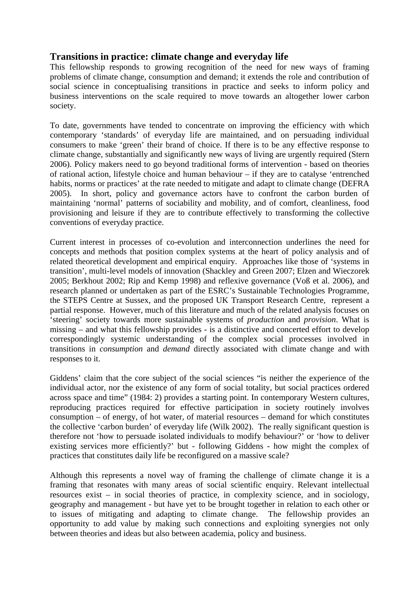# **Transitions in practice: climate change and everyday life**

This fellowship responds to growing recognition of the need for new ways of framing problems of climate change, consumption and demand; it extends the role and contribution of social science in conceptualising transitions in practice and seeks to inform policy and business interventions on the scale required to move towards an altogether lower carbon society.

To date, governments have tended to concentrate on improving the efficiency with which contemporary 'standards' of everyday life are maintained, and on persuading individual consumers to make 'green' their brand of choice. If there is to be any effective response to climate change, substantially and significantly new ways of living are urgently required (Stern 2006). Policy makers need to go beyond traditional forms of intervention - based on theories of rational action, lifestyle choice and human behaviour – if they are to catalyse 'entrenched habits, norms or practices' at the rate needed to mitigate and adapt to climate change (DEFRA 2005). In short, policy and governance actors have to confront the carbon burden of maintaining 'normal' patterns of sociability and mobility, and of comfort, cleanliness, food provisioning and leisure if they are to contribute effectively to transforming the collective conventions of everyday practice.

Current interest in processes of co-evolution and interconnection underlines the need for concepts and methods that position complex systems at the heart of policy analysis and of related theoretical development and empirical enquiry. Approaches like those of 'systems in transition', multi-level models of innovation (Shackley and Green 2007; Elzen and Wieczorek 2005; Berkhout 2002; Rip and Kemp 1998) and reflexive governance (Voß et al. 2006), and research planned or undertaken as part of the ESRC's Sustainable Technologies Programme, the STEPS Centre at Sussex, and the proposed UK Transport Research Centre, represent a partial response. However, much of this literature and much of the related analysis focuses on 'steering' society towards more sustainable systems of *production* and *provision*. What is missing – and what this fellowship provides - is a distinctive and concerted effort to develop correspondingly systemic understanding of the complex social processes involved in transitions in *consumption* and *demand* directly associated with climate change and with responses to it.

Giddens' claim that the core subject of the social sciences "is neither the experience of the individual actor, nor the existence of any form of social totality, but social practices ordered across space and time" (1984: 2) provides a starting point. In contemporary Western cultures, reproducing practices required for effective participation in society routinely involves consumption – of energy, of hot water, of material resources – demand for which constitutes the collective 'carbon burden' of everyday life (Wilk 2002). The really significant question is therefore not 'how to persuade isolated individuals to modify behaviour?' or 'how to deliver existing services more efficiently?' but - following Giddens - how might the complex of practices that constitutes daily life be reconfigured on a massive scale?

Although this represents a novel way of framing the challenge of climate change it is a framing that resonates with many areas of social scientific enquiry. Relevant intellectual resources exist – in social theories of practice, in complexity science, and in sociology, geography and management - but have yet to be brought together in relation to each other or to issues of mitigating and adapting to climate change. The fellowship provides an opportunity to add value by making such connections and exploiting synergies not only between theories and ideas but also between academia, policy and business.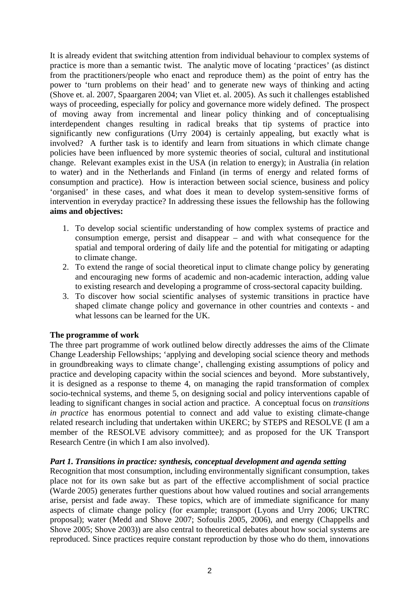It is already evident that switching attention from individual behaviour to complex systems of practice is more than a semantic twist. The analytic move of locating 'practices' (as distinct from the practitioners/people who enact and reproduce them) as the point of entry has the power to 'turn problems on their head' and to generate new ways of thinking and acting (Shove et. al. 2007, Spaargaren 2004; van Vliet et. al. 2005). As such it challenges established ways of proceeding, especially for policy and governance more widely defined. The prospect of moving away from incremental and linear policy thinking and of conceptualising interdependent changes resulting in radical breaks that tip systems of practice into significantly new configurations (Urry 2004) is certainly appealing, but exactly what is involved? A further task is to identify and learn from situations in which climate change policies have been influenced by more systemic theories of social, cultural and institutional change. Relevant examples exist in the USA (in relation to energy); in Australia (in relation to water) and in the Netherlands and Finland (in terms of energy and related forms of consumption and practice). How is interaction between social science, business and policy 'organised' in these cases, and what does it mean to develop system-sensitive forms of intervention in everyday practice? In addressing these issues the fellowship has the following **aims and objectives:**

- 1. To develop social scientific understanding of how complex systems of practice and consumption emerge, persist and disappear – and with what consequence for the spatial and temporal ordering of daily life and the potential for mitigating or adapting to climate change.
- 2. To extend the range of social theoretical input to climate change policy by generating and encouraging new forms of academic and non-academic interaction, adding value to existing research and developing a programme of cross-sectoral capacity building.
- 3. To discover how social scientific analyses of systemic transitions in practice have shaped climate change policy and governance in other countries and contexts - and what lessons can be learned for the UK.

## **The programme of work**

The three part programme of work outlined below directly addresses the aims of the Climate Change Leadership Fellowships; 'applying and developing social science theory and methods in groundbreaking ways to climate change', challenging existing assumptions of policy and practice and developing capacity within the social sciences and beyond. More substantively, it is designed as a response to theme 4, on managing the rapid transformation of complex socio-technical systems, and theme 5, on designing social and policy interventions capable of leading to significant changes in social action and practice. A conceptual focus on *transitions in practice* has enormous potential to connect and add value to existing climate-change related research including that undertaken within UKERC; by STEPS and RESOLVE (I am a member of the RESOLVE advisory committee); and as proposed for the UK Transport Research Centre (in which I am also involved).

### *Part 1. Transitions in practice: synthesis, conceptual development and agenda setting*

Recognition that most consumption, including environmentally significant consumption, takes place not for its own sake but as part of the effective accomplishment of social practice (Warde 2005) generates further questions about how valued routines and social arrangements arise, persist and fade away. These topics, which are of immediate significance for many aspects of climate change policy (for example; transport (Lyons and Urry 2006; UKTRC proposal); water (Medd and Shove 2007; Sofoulis 2005, 2006), and energy (Chappells and Shove 2005; Shove 2003)) are also central to theoretical debates about how social systems are reproduced. Since practices require constant reproduction by those who do them, innovations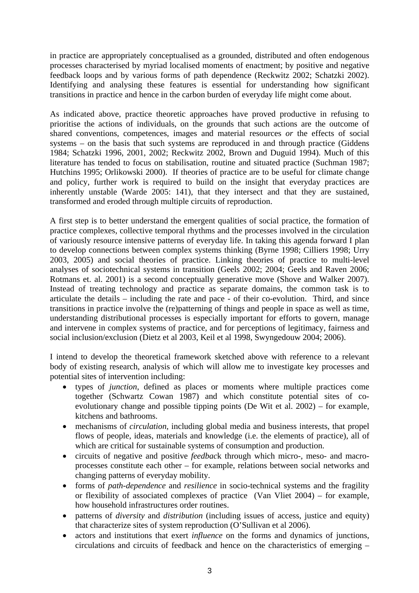in practice are appropriately conceptualised as a grounded, distributed and often endogenous processes characterised by myriad localised moments of enactment; by positive and negative feedback loops and by various forms of path dependence (Reckwitz 2002; Schatzki 2002). Identifying and analysing these features is essential for understanding how significant transitions in practice and hence in the carbon burden of everyday life might come about.

As indicated above, practice theoretic approaches have proved productive in refusing to prioritise the actions of individuals, on the grounds that such actions are the outcome of shared conventions, competences, images and material resources *or* the effects of social systems – on the basis that such systems are reproduced in and through practice (Giddens 1984; Schatzki 1996, 2001, 2002; Reckwitz 2002, Brown and Duguid 1994). Much of this literature has tended to focus on stabilisation, routine and situated practice (Suchman 1987; Hutchins 1995; Orlikowski 2000). If theories of practice are to be useful for climate change and policy, further work is required to build on the insight that everyday practices are inherently unstable (Warde 2005: 141), that they intersect and that they are sustained, transformed and eroded through multiple circuits of reproduction.

A first step is to better understand the emergent qualities of social practice, the formation of practice complexes, collective temporal rhythms and the processes involved in the circulation of variously resource intensive patterns of everyday life. In taking this agenda forward I plan to develop connections between complex systems thinking (Byrne 1998; Cilliers 1998; Urry 2003, 2005) and social theories of practice. Linking theories of practice to multi-level analyses of sociotechnical systems in transition (Geels 2002; 2004; Geels and Raven 2006; Rotmans et. al. 2001) is a second conceptually generative move (Shove and Walker 2007). Instead of treating technology and practice as separate domains, the common task is to articulate the details – including the rate and pace - of their co-evolution. Third, and since transitions in practice involve the (re)patterning of things and people in space as well as time, understanding distributional processes is especially important for efforts to govern, manage and intervene in complex systems of practice, and for perceptions of legitimacy, fairness and social inclusion/exclusion (Dietz et al 2003, Keil et al 1998, Swyngedouw 2004; 2006).

I intend to develop the theoretical framework sketched above with reference to a relevant body of existing research, analysis of which will allow me to investigate key processes and potential sites of intervention including:

- types of *junction*, defined as places or moments where multiple practices come together (Schwartz Cowan 1987) and which constitute potential sites of coevolutionary change and possible tipping points (De Wit et al. 2002) – for example, kitchens and bathrooms.
- mechanisms of *circulation,* including global media and business interests, that propel flows of people, ideas, materials and knowledge (i.e. the elements of practice), all of which are critical for sustainable systems of consumption and production.
- circuits of negative and positive *feedbac*k through which micro-, meso- and macroprocesses constitute each other – for example, relations between social networks and changing patterns of everyday mobility.
- forms of *path-dependence* and *resilience* in socio-technical systems and the fragility or flexibility of associated complexes of practice (Van Vliet 2004) – for example, how household infrastructures order routines.
- patterns of *diversity* and *distribution* (including issues of access, justice and equity) that characterize sites of system reproduction (O'Sullivan et al 2006).
- actors and institutions that exert *influence* on the forms and dynamics of junctions, circulations and circuits of feedback and hence on the characteristics of emerging –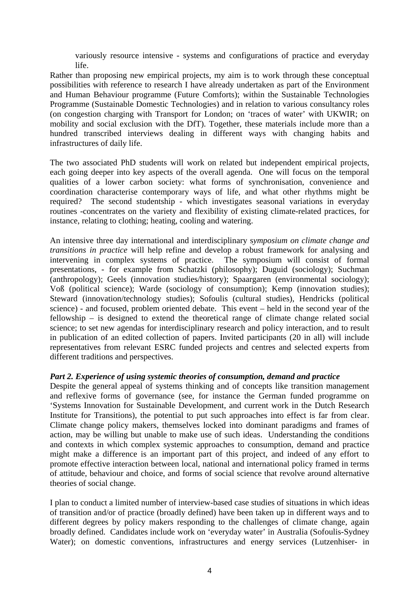variously resource intensive - systems and configurations of practice and everyday life.

Rather than proposing new empirical projects, my aim is to work through these conceptual possibilities with reference to research I have already undertaken as part of the Environment and Human Behaviour programme (Future Comforts); within the Sustainable Technologies Programme (Sustainable Domestic Technologies) and in relation to various consultancy roles (on congestion charging with Transport for London; on 'traces of water' with UKWIR; on mobility and social exclusion with the DfT). Together, these materials include more than a hundred transcribed interviews dealing in different ways with changing habits and infrastructures of daily life.

The two associated PhD students will work on related but independent empirical projects, each going deeper into key aspects of the overall agenda. One will focus on the temporal qualities of a lower carbon society: what forms of synchronisation, convenience and coordination characterise contemporary ways of life, and what other rhythms might be required? The second studentship - which investigates seasonal variations in everyday routines -concentrates on the variety and flexibility of existing climate-related practices, for instance, relating to clothing; heating, cooling and watering.

An intensive three day international and interdisciplinary s*ymposium on climate change and transitions in practice* will help refine and develop a robust framework for analysing and intervening in complex systems of practice. The symposium will consist of formal presentations, - for example from Schatzki (philosophy); Duguid (sociology); Suchman (anthropology); Geels (innovation studies/history); Spaargaren (environmental sociology); Voß (political science); Warde (sociology of consumption); Kemp (innovation studies); Steward (innovation/technology studies); Sofoulis (cultural studies), Hendricks (political science) - and focused, problem oriented debate. This event – held in the second year of the fellowship – is designed to extend the theoretical range of climate change related social science; to set new agendas for interdisciplinary research and policy interaction, and to result in publication of an edited collection of papers. Invited participants (20 in all) will include representatives from relevant ESRC funded projects and centres and selected experts from different traditions and perspectives.

### *Part 2. Experience of using systemic theories of consumption, demand and practice*

Despite the general appeal of systems thinking and of concepts like transition management and reflexive forms of governance (see, for instance the German funded programme on 'Systems Innovation for Sustainable Development, and current work in the Dutch Research Institute for Transitions), the potential to put such approaches into effect is far from clear. Climate change policy makers, themselves locked into dominant paradigms and frames of action, may be willing but unable to make use of such ideas. Understanding the conditions and contexts in which complex systemic approaches to consumption, demand and practice might make a difference is an important part of this project, and indeed of any effort to promote effective interaction between local, national and international policy framed in terms of attitude, behaviour and choice, and forms of social science that revolve around alternative theories of social change.

I plan to conduct a limited number of interview-based case studies of situations in which ideas of transition and/or of practice (broadly defined) have been taken up in different ways and to different degrees by policy makers responding to the challenges of climate change, again broadly defined. Candidates include work on 'everyday water' in Australia (Sofoulis-Sydney Water); on domestic conventions, infrastructures and energy services (Lutzenhiser- in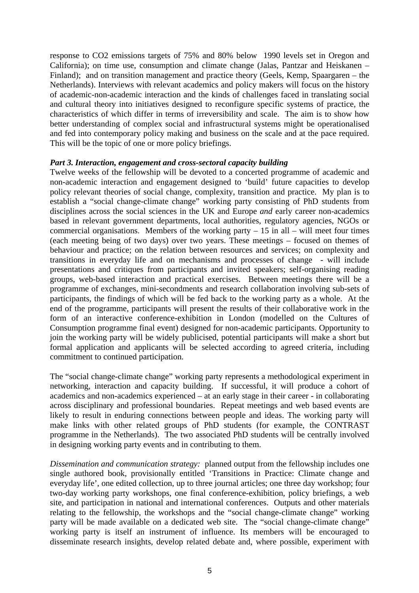response to CO2 emissions targets of 75% and 80% below 1990 levels set in Oregon and California); on time use, consumption and climate change (Jalas, Pantzar and Heiskanen – Finland); and on transition management and practice theory (Geels, Kemp, Spaargaren – the Netherlands). Interviews with relevant academics and policy makers will focus on the history of academic-non-academic interaction and the kinds of challenges faced in translating social and cultural theory into initiatives designed to reconfigure specific systems of practice, the characteristics of which differ in terms of irreversibility and scale. The aim is to show how better understanding of complex social and infrastructural systems might be operationalised and fed into contemporary policy making and business on the scale and at the pace required. This will be the topic of one or more policy briefings.

#### *Part 3. Interaction, engagement and cross-sectoral capacity building*

Twelve weeks of the fellowship will be devoted to a concerted programme of academic and non-academic interaction and engagement designed to 'build' future capacities to develop policy relevant theories of social change, complexity, transition and practice. My plan is to establish a "social change-climate change" working party consisting of PhD students from disciplines across the social sciences in the UK and Europe *and* early career non-academics based in relevant government departments, local authorities, regulatory agencies, NGOs or commercial organisations. Members of the working party  $-15$  in all – will meet four times (each meeting being of two days) over two years. These meetings – focused on themes of behaviour and practice; on the relation between resources and services; on complexity and transitions in everyday life and on mechanisms and processes of change - will include presentations and critiques from participants and invited speakers; self-organising reading groups, web-based interaction and practical exercises. Between meetings there will be a programme of exchanges, mini-secondments and research collaboration involving sub-sets of participants, the findings of which will be fed back to the working party as a whole. At the end of the programme, participants will present the results of their collaborative work in the form of an interactive conference-exhibition in London (modelled on the Cultures of Consumption programme final event) designed for non-academic participants. Opportunity to join the working party will be widely publicised, potential participants will make a short but formal application and applicants will be selected according to agreed criteria, including commitment to continued participation.

The "social change-climate change" working party represents a methodological experiment in networking, interaction and capacity building. If successful, it will produce a cohort of academics and non-academics experienced – at an early stage in their career - in collaborating across disciplinary and professional boundaries. Repeat meetings and web based events are likely to result in enduring connections between people and ideas. The working party will make links with other related groups of PhD students (for example, the CONTRAST programme in the Netherlands). The two associated PhD students will be centrally involved in designing working party events and in contributing to them.

*Dissemination and communication strategy:* planned output from the fellowship includes one single authored book, provisionally entitled 'Transitions in Practice: Climate change and everyday life', one edited collection, up to three journal articles; one three day workshop; four two-day working party workshops, one final conference-exhibition, policy briefings, a web site, and participation in national and international conferences. Outputs and other materials relating to the fellowship, the workshops and the "social change-climate change" working party will be made available on a dedicated web site. The "social change-climate change" working party is itself an instrument of influence. Its members will be encouraged to disseminate research insights, develop related debate and, where possible, experiment with